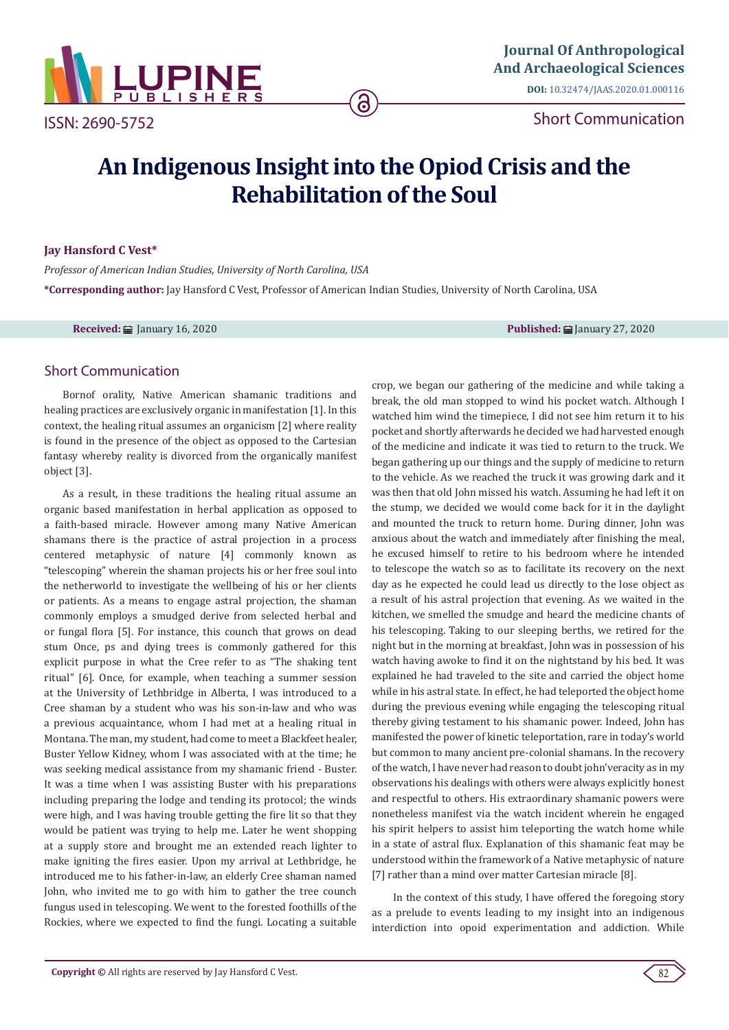

ISSN: 2690-5752

Short Communication

# **An Indigenous Insight into the Opiod Crisis and the Rehabilitation of the Soul**

6

#### **Jay Hansford C Vest\***

*Professor of American Indian Studies, University of North Carolina, USA* **\*Corresponding author:** Jay Hansford C Vest, Professor of American Indian Studies, University of North Carolina, USA

**Received:** January 16, 2020 **Published:** January 27, 2020

## Short Communication

Bornof orality, Native American shamanic traditions and healing practices are exclusively organic in manifestation [1]. In this context, the healing ritual assumes an organicism [2] where reality is found in the presence of the object as opposed to the Cartesian fantasy whereby reality is divorced from the organically manifest object [3].

As a result, in these traditions the healing ritual assume an organic based manifestation in herbal application as opposed to a faith-based miracle. However among many Native American shamans there is the practice of astral projection in a process centered metaphysic of nature [4] commonly known as "telescoping" wherein the shaman projects his or her free soul into the netherworld to investigate the wellbeing of his or her clients or patients. As a means to engage astral projection, the shaman commonly employs a smudged derive from selected herbal and or fungal flora [5]. For instance, this counch that grows on dead stum Once, ps and dying trees is commonly gathered for this explicit purpose in what the Cree refer to as "The shaking tent ritual" [6]. Once, for example, when teaching a summer session at the University of Lethbridge in Alberta, I was introduced to a Cree shaman by a student who was his son-in-law and who was a previous acquaintance, whom I had met at a healing ritual in Montana. The man, my student, had come to meet a Blackfeet healer, Buster Yellow Kidney, whom I was associated with at the time; he was seeking medical assistance from my shamanic friend - Buster. It was a time when I was assisting Buster with his preparations including preparing the lodge and tending its protocol; the winds were high, and I was having trouble getting the fire lit so that they would be patient was trying to help me. Later he went shopping at a supply store and brought me an extended reach lighter to make igniting the fires easier. Upon my arrival at Lethbridge, he introduced me to his father-in-law, an elderly Cree shaman named John, who invited me to go with him to gather the tree counch fungus used in telescoping. We went to the forested foothills of the Rockies, where we expected to find the fungi. Locating a suitable crop, we began our gathering of the medicine and while taking a break, the old man stopped to wind his pocket watch. Although I watched him wind the timepiece, I did not see him return it to his pocket and shortly afterwards he decided we had harvested enough of the medicine and indicate it was tied to return to the truck. We began gathering up our things and the supply of medicine to return to the vehicle. As we reached the truck it was growing dark and it was then that old John missed his watch. Assuming he had left it on the stump, we decided we would come back for it in the daylight and mounted the truck to return home. During dinner, John was anxious about the watch and immediately after finishing the meal, he excused himself to retire to his bedroom where he intended to telescope the watch so as to facilitate its recovery on the next day as he expected he could lead us directly to the lose object as a result of his astral projection that evening. As we waited in the kitchen, we smelled the smudge and heard the medicine chants of his telescoping. Taking to our sleeping berths, we retired for the night but in the morning at breakfast, John was in possession of his watch having awoke to find it on the nightstand by his bed. It was explained he had traveled to the site and carried the object home while in his astral state. In effect, he had teleported the object home during the previous evening while engaging the telescoping ritual thereby giving testament to his shamanic power. Indeed, John has manifested the power of kinetic teleportation, rare in today's world but common to many ancient pre-colonial shamans. In the recovery of the watch, I have never had reason to doubt john'veracity as in my observations his dealings with others were always explicitly honest and respectful to others. His extraordinary shamanic powers were nonetheless manifest via the watch incident wherein he engaged his spirit helpers to assist him teleporting the watch home while in a state of astral flux. Explanation of this shamanic feat may be understood within the framework of a Native metaphysic of nature [7] rather than a mind over matter Cartesian miracle [8].

 In the context of this study, I have offered the foregoing story as a prelude to events leading to my insight into an indigenous interdiction into opoid experimentation and addiction. While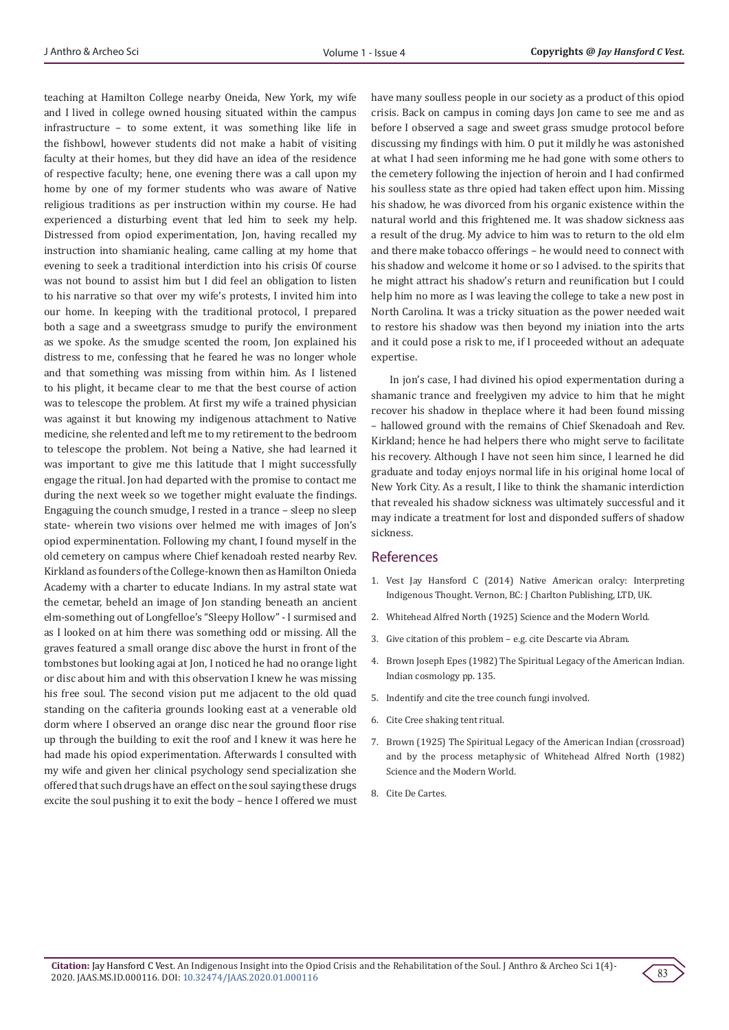teaching at Hamilton College nearby Oneida, New York, my wife and I lived in college owned housing situated within the campus infrastructure – to some extent, it was something like life in the fishbowl, however students did not make a habit of visiting faculty at their homes, but they did have an idea of the residence of respective faculty; hene, one evening there was a call upon my home by one of my former students who was aware of Native religious traditions as per instruction within my course. He had experienced a disturbing event that led him to seek my help. Distressed from opiod experimentation, Jon, having recalled my instruction into shamianic healing, came calling at my home that evening to seek a traditional interdiction into his crisis Of course was not bound to assist him but I did feel an obligation to listen to his narrative so that over my wife's protests, I invited him into our home. In keeping with the traditional protocol, I prepared both a sage and a sweetgrass smudge to purify the environment as we spoke. As the smudge scented the room, Jon explained his distress to me, confessing that he feared he was no longer whole and that something was missing from within him. As I listened to his plight, it became clear to me that the best course of action was to telescope the problem. At first my wife a trained physician was against it but knowing my indigenous attachment to Native medicine, she relented and left me to my retirement to the bedroom to telescope the problem. Not being a Native, she had learned it was important to give me this latitude that I might successfully engage the ritual. Jon had departed with the promise to contact me during the next week so we together might evaluate the findings. Engaguing the counch smudge, I rested in a trance – sleep no sleep state- wherein two visions over helmed me with images of Jon's opiod experminentation. Following my chant, I found myself in the old cemetery on campus where Chief kenadoah rested nearby Rev. Kirkland as founders of the College-known then as Hamilton Onieda Academy with a charter to educate Indians. In my astral state wat the cemetar, beheld an image of Jon standing beneath an ancient elm-something out of Longfelloe's "Sleepy Hollow" - I surmised and as I looked on at him there was something odd or missing. All the graves featured a small orange disc above the hurst in front of the tombstones but looking agai at Jon, I noticed he had no orange light or disc about him and with this observation I knew he was missing his free soul. The second vision put me adjacent to the old quad standing on the cafiteria grounds looking east at a venerable old dorm where I observed an orange disc near the ground floor rise up through the building to exit the roof and I knew it was here he had made his opiod experimentation. Afterwards I consulted with my wife and given her clinical psychology send specialization she offered that such drugs have an effect on the soul saying these drugs excite the soul pushing it to exit the body – hence I offered we must have many soulless people in our society as a product of this opiod crisis. Back on campus in coming days Jon came to see me and as before I observed a sage and sweet grass smudge protocol before discussing my findings with him. O put it mildly he was astonished at what I had seen informing me he had gone with some others to the cemetery following the injection of heroin and I had confirmed his soulless state as thre opied had taken effect upon him. Missing his shadow, he was divorced from his organic existence within the natural world and this frightened me. It was shadow sickness aas a result of the drug. My advice to him was to return to the old elm and there make tobacco offerings – he would need to connect with his shadow and welcome it home or so I advised. to the spirits that he might attract his shadow's return and reunification but I could help him no more as I was leaving the college to take a new post in North Carolina. It was a tricky situation as the power needed wait to restore his shadow was then beyond my iniation into the arts and it could pose a risk to me, if I proceeded without an adequate expertise.

In jon's case, I had divined his opiod expermentation during a shamanic trance and freelygiven my advice to him that he might recover his shadow in theplace where it had been found missing – hallowed ground with the remains of Chief Skenadoah and Rev. Kirkland; hence he had helpers there who might serve to facilitate his recovery. Although I have not seen him since, I learned he did graduate and today enjoys normal life in his original home local of New York City. As a result, I like to think the shamanic interdiction that revealed his shadow sickness was ultimately successful and it may indicate a treatment for lost and disponded suffers of shadow sickness.

### References

- 1. Vest Jay Hansford C (2014) Native American oralcy: Interpreting Indigenous Thought. Vernon, BC: J Charlton Publishing, LTD, UK.
- 2. Whitehead Alfred North (1925) Science and the Modern World.
- 3. Give citation of this problem e.g. cite Descarte via Abram.
- 4. Brown Joseph Epes (1982) The Spiritual Legacy of the American Indian. Indian cosmology pp. 135.
- 5. Indentify and cite the tree counch fungi involved.
- 6. Cite Cree shaking tent ritual.
- 7. Brown (1925) The Spiritual Legacy of the American Indian (crossroad) and by the process metaphysic of Whitehead Alfred North (1982) Science and the Modern World.
- 8. Cite De Cartes.